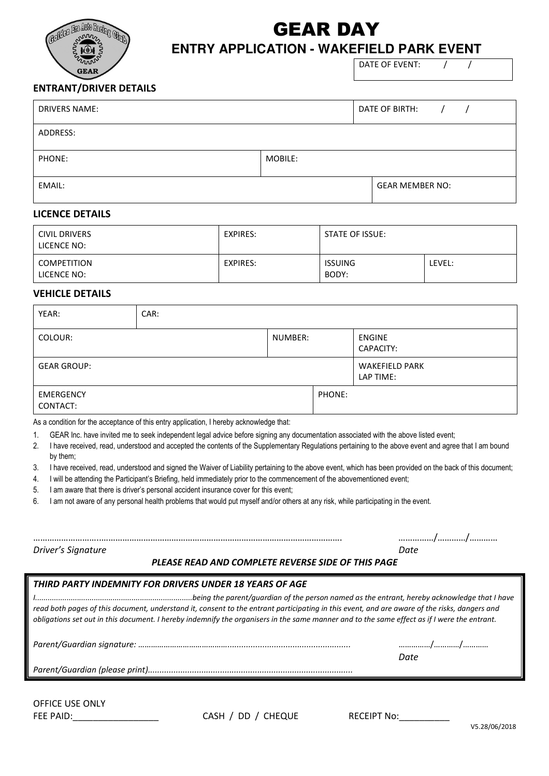

## GEAR DAY **ENTRY APPLICATION - WAKEFIELD PARK EVENT**

DATE OF EVENT: / /

## **ENTRANT/DRIVER DETAILS**

| <b>DRIVERS NAME:</b> |         | DATE OF BIRTH:         |  |  |
|----------------------|---------|------------------------|--|--|
| ADDRESS:             |         |                        |  |  |
| PHONE:               | MOBILE: |                        |  |  |
| EMAIL:               |         | <b>GEAR MEMBER NO:</b> |  |  |

### **LICENCE DETAILS**

| <b>CIVIL DRIVERS</b><br>LICENCE NO: | EXPIRES: | <b>STATE OF ISSUE:</b>  |        |
|-------------------------------------|----------|-------------------------|--------|
| <b>COMPETITION</b><br>LICENCE NO:   | EXPIRES: | <b>ISSUING</b><br>BODY: | LEVEL: |

### **VEHICLE DETAILS**

| YEAR:                        | CAR: |         |        |                                    |
|------------------------------|------|---------|--------|------------------------------------|
| COLOUR:                      |      | NUMBER: |        | <b>ENGINE</b><br>CAPACITY:         |
| <b>GEAR GROUP:</b>           |      |         |        | <b>WAKEFIELD PARK</b><br>LAP TIME: |
| <b>EMERGENCY</b><br>CONTACT: |      |         | PHONE: |                                    |

As a condition for the acceptance of this entry application, I hereby acknowledge that:

1. GEAR Inc. have invited me to seek independent legal advice before signing any documentation associated with the above listed event;

- 2. I have received, read, understood and accepted the contents of the Supplementary Regulations pertaining to the above event and agree that I am bound by them;
- 3. I have received, read, understood and signed the Waiver of Liability pertaining to the above event, which has been provided on the back of this document;
- 4. I will be attending the Participant's Briefing, held immediately prior to the commencement of the abovementioned event;
- 5. I am aware that there is driver's personal accident insurance cover for this event;

6. I am not aware of any personal health problems that would put myself and/or others at any risk, while participating in the event.

*Driver's Signature Date*

………………………..…………………………………………………………………………………………. ……………/…………/…………

#### *PLEASE READ AND COMPLETE REVERSE SIDE OF THIS PAGE*

| THIRD PARTY INDEMNITY FOR DRIVERS UNDER 18 YEARS OF AGE                                                                                                                                                                                                                                     |      |  |  |  |  |
|---------------------------------------------------------------------------------------------------------------------------------------------------------------------------------------------------------------------------------------------------------------------------------------------|------|--|--|--|--|
| read both pages of this document, understand it, consent to the entrant participating in this event, and are aware of the risks, dangers and<br>obligations set out in this document. I hereby indemnify the organisers in the same manner and to the same effect as if I were the entrant. |      |  |  |  |  |
|                                                                                                                                                                                                                                                                                             |      |  |  |  |  |
|                                                                                                                                                                                                                                                                                             | Date |  |  |  |  |
|                                                                                                                                                                                                                                                                                             |      |  |  |  |  |
|                                                                                                                                                                                                                                                                                             |      |  |  |  |  |

OFFICE USE ONLY

FEE PAID:\_\_\_\_\_\_\_\_\_\_\_\_\_\_\_\_\_ CASH / DD / CHEQUE RECEIPT No:\_\_\_\_\_\_\_\_\_\_